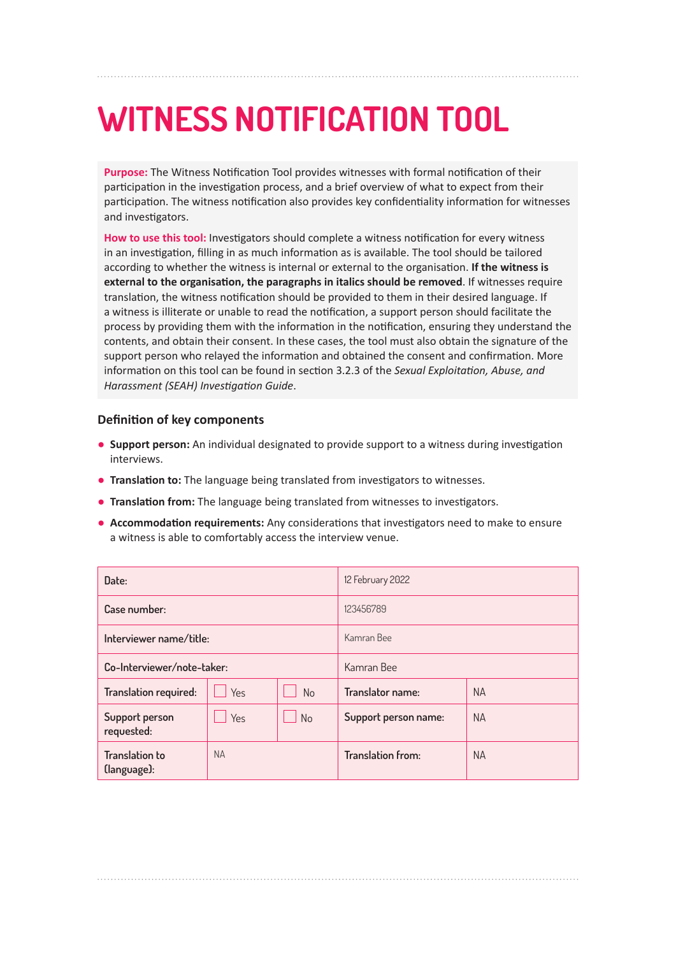## **WITNESS NOTIFICATION TOOL**

**Purpose:** The Witness Notification Tool provides witnesses with formal notification of their participation in the investigation process, and a brief overview of what to expect from their participation. The witness notification also provides key confidentiality information for witnesses and investigators.

**How to use this tool:** Investigators should complete a witness notification for every witness in an investigation, filling in as much information as is available. The tool should be tailored according to whether the witness is internal or external to the organisation. **If the witness is external to the organisation, the paragraphs in italics should be removed**. If witnesses require translation, the witness notification should be provided to them in their desired language. If a witness is illiterate or unable to read the notification, a support person should facilitate the process by providing them with the information in the notification, ensuring they understand the contents, and obtain their consent. In these cases, the tool must also obtain the signature of the support person who relayed the information and obtained the consent and confirmation. More information on this tool can be found in section 3.2.3 of the *Sexual Exploitation, Abuse, and Harassment (SEAH) Investigation Guide*.

## **Definition of key components**

- **Support person:** An individual designated to provide support to a witness during investigation interviews.
- **Translation to:** The language being translated from investigators to witnesses.
- **Translation from:** The language being translated from witnesses to investigators.
- **Accommodation requirements:** Any considerations that investigators need to make to ensure a witness is able to comfortably access the interview venue.

| Date:                                |           |            | 12 February 2022         |           |
|--------------------------------------|-----------|------------|--------------------------|-----------|
| Case number:                         |           |            | 123456789                |           |
| Interviewer name/title:              |           |            | Kamran Bee               |           |
| Co-Interviewer/note-taker:           |           | Kamran Bee |                          |           |
| Translation required:                | Yes       | <b>No</b>  | Translator name:         | <b>NA</b> |
| Support person<br>requested:         | Yes       | <b>No</b>  | Support person name:     | <b>NA</b> |
| <b>Translation to</b><br>(language): | <b>NA</b> |            | <b>Translation from:</b> | <b>NA</b> |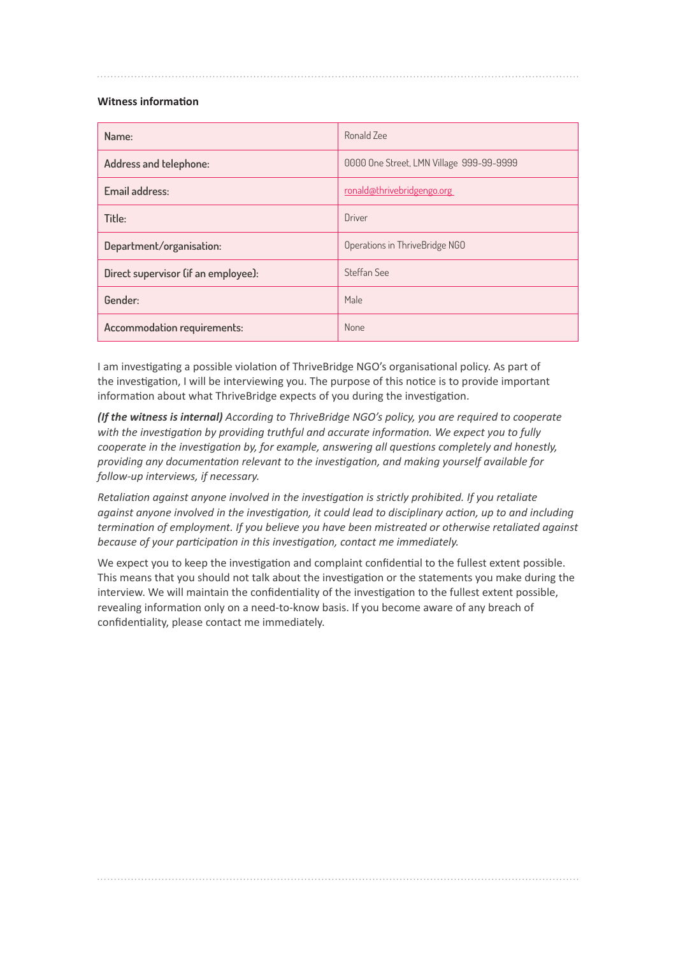## **Witness information**

| Name:                               | Ronald Zee                               |
|-------------------------------------|------------------------------------------|
| Address and telephone:              | 0000 One Street, LMN Village 999-99-9999 |
| Email address:                      | ronald@thrivebridgengo.org               |
| Title:                              | Driver                                   |
| Department/organisation:            | Operations in ThriveBridge NGO           |
| Direct supervisor (if an employee): | Steffan See                              |
| Gender:                             | Male                                     |
| Accommodation requirements:         | None                                     |

I am investigating a possible violation of ThriveBridge NGO's organisational policy. As part of the investigation, I will be interviewing you. The purpose of this notice is to provide important information about what ThriveBridge expects of you during the investigation.

*(If the witness is internal) According to ThriveBridge NGO's policy, you are required to cooperate with the investigation by providing truthful and accurate information. We expect you to fully cooperate in the investigation by, for example, answering all questions completely and honestly, providing any documentation relevant to the investigation, and making yourself available for follow-up interviews, if necessary.*

*Retaliation against anyone involved in the investigation is strictly prohibited. If you retaliate against anyone involved in the investigation, it could lead to disciplinary action, up to and including termination of employment. If you believe you have been mistreated or otherwise retaliated against because of your participation in this investigation, contact me immediately.*

We expect you to keep the investigation and complaint confidential to the fullest extent possible. This means that you should not talk about the investigation or the statements you make during the interview. We will maintain the confidentiality of the investigation to the fullest extent possible, revealing information only on a need-to-know basis. If you become aware of any breach of confidentiality, please contact me immediately.